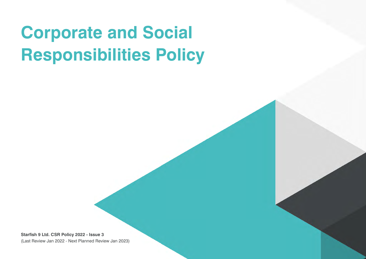# **Corporate and Social Responsibilities Policy**

**Starfish 9 Ltd. CSR Policy 2022 - Issue 3** (Last Review Jan 2022 - Next Planned Review Jan 2023)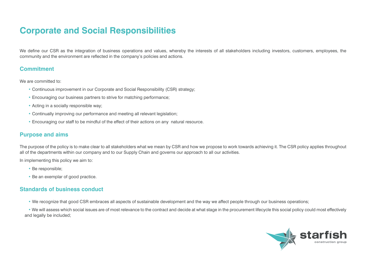# **Corporate and Social Responsibilities**

We define our CSR as the integration of business operations and values, whereby the interests of all stakeholders including investors, customers, employees, the community and the environment are reflected in the company's policies and actions.

#### **Commitment**

We are committed to:

- Continuous improvement in our Corporate and Social Responsibility (CSR) strategy;
- Encouraging our business partners to strive for matching performance;
- Acting in a socially responsible way;
- Continually improving our performance and meeting all relevant legislation;
- Encouraging our staff to be mindful of the effect of their actions on any natural resource.

#### **Purpose and aims**

The purpose of the policy is to make clear to all stakeholders what we mean by CSR and how we propose to work towards achieving it. The CSR policy applies throughout all of the departments within our company and to our Supply Chain and governs our approach to all our activities.

In implementing this policy we aim to:

- Be responsible;
- Be an exemplar of good practice.

#### **Standards of business conduct**

• We recognize that good CSR embraces all aspects of sustainable development and the way we affect people through our business operations;

• We will assess which social issues are of most relevance to the contract and decide at what stage in the procurement lifecycle this social policy could most effectively and legally be included;

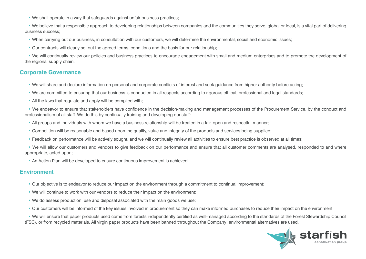• We shall operate in a way that safeguards against unfair business practices;

• We believe that a responsible approach to developing relationships between companies and the communities they serve, global or local, is a vital part of delivering business success;

- When carrying out our business, in consultation with our customers, we will determine the environmental, social and economic issues;
- Our contracts will clearly set out the agreed terms, conditions and the basis for our relationship;

• We will continually review our policies and business practices to encourage engagement with small and medium enterprises and to promote the development of the regional supply chain.

#### **Corporate Governance**

- We will share and declare information on personal and corporate conflicts of interest and seek guidance from higher authority before acting;
- We are committed to ensuring that our business is conducted in all respects according to rigorous ethical, professional and legal standards;
- All the laws that regulate and apply will be complied with:

• We endeavor to ensure that stakeholders have confidence in the decision-making and management processes of the Procurement Service, by the conduct and professionalism of all staff. We do this by continually training and developing our staff:

- All groups and individuals with whom we have a business relationship will be treated in a fair, open and respectful manner;
- Competition will be reasonable and based upon the quality, value and integrity of the products and services being supplied;
- Feedback on performance will be actively sought, and we will continually review all activities to ensure best practice is observed at all times;

• We will allow our customers and vendors to give feedback on our performance and ensure that all customer comments are analysed, responded to and where appropriate, acted upon;

• An Action Plan will be developed to ensure continuous improvement is achieved.

#### **Environment**

- Our objective is to endeavor to reduce our impact on the environment through a commitment to continual improvement;
- We will continue to work with our vendors to reduce their impact on the environment;
- We do assess production, use and disposal associated with the main goods we use;
- Our customers will be informed of the key issues involved in procurement so they can make informed purchases to reduce their impact on the environment;

• We will ensure that paper products used come from forests independently certified as well-managed according to the standards of the Forest Stewardship Council (FSC), or from recycled materials. All virgin paper products have been banned throughout the Company; environmental alternatives are used.

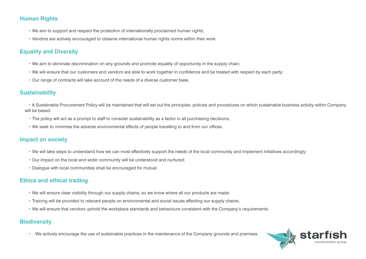#### **Human Rights**

- We aim to support and respect the protection of internationally proclaimed human rights;
- Vendors are actively encouraged to observe international human rights norms within their work.

## **Equality and Diversity**

- We aim to eliminate discrimination on any grounds and promote equality of opportunity in the supply chain;
- We will ensure that our customers and vendors are able to work together in confidence and be treated with respect by each party;
- Our range of contracts will take account of the needs of a diverse customer base.

#### **Sustainability**

• A Sustainable Procurement Policy will be maintained that will set out the principles, policies and procedures on which sustainable business activity within Company will be based.

- The policy will act as a prompt to staff to consider sustainability as a factor in all purchasing decisions;
- We seek to minimise the adverse environmental effects of people travelling to and from our offices.

#### **Impact on society**

- We will take steps to understand how we can most effectively support the needs of the local community and implement initiatives accordingly;
- Our impact on the local and wider community will be understood and nurtured;
- Dialogue with local communities shall be encouraged for mutual

#### **Ethics and ethical trading**

- We will ensure clear visibility through our supply chains, so we know where all our products are made;
- Training will be provided to relevant people on environmental and social issues affecting our supply chains;
- We will ensure that vendors uphold the workplace standards and behaviours consistent with the Company's requirements.

## **Biodiversity**

• We actively encourage the use of sustainable practices in the maintenance of the Company grounds and premises.